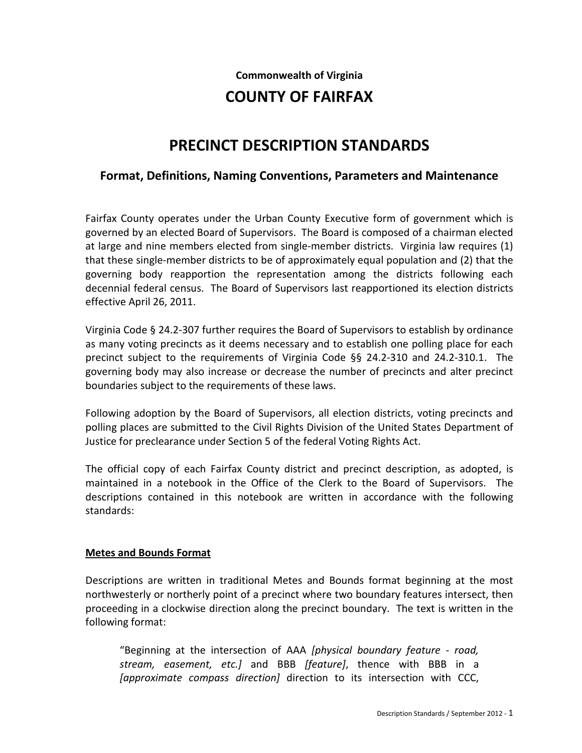#### **Commonwealth of Virginia**

# **COUNTY OF FAIRFAX**

# **PRECINCT DESCRIPTION STANDARDS**

## **Format, Definitions, Naming Conventions, Parameters and Maintenance**

Fairfax County operates under the Urban County Executive form of government which is governed by an elected Board of Supervisors. The Board is composed of a chairman elected at large and nine members elected from single-member districts. Virginia law requires (1) that these single-member districts to be of approximately equal population and (2) that the governing body reapportion the representation among the districts following each decennial federal census. The Board of Supervisors last reapportioned its election districts effective April 26, 2011.

Virginia Code § 24.2-307 further requires the Board of Supervisors to establish by ordinance as many voting precincts as it deems necessary and to establish one polling place for each precinct subject to the requirements of Virginia Code §§ 24.2-310 and 24.2-310.1. The governing body may also increase or decrease the number of precincts and alter precinct boundaries subject to the requirements of these laws.

Following adoption by the Board of Supervisors, all election districts, voting precincts and polling places are submitted to the Civil Rights Division of the United States Department of Justice for preclearance under Section 5 of the federal Voting Rights Act.

The official copy of each Fairfax County district and precinct description, as adopted, is maintained in a notebook in the Office of the Clerk to the Board of Supervisors. The descriptions contained in this notebook are written in accordance with the following standards:

#### **Metes and Bounds Format**

Descriptions are written in traditional Metes and Bounds format beginning at the most northwesterly or northerly point of a precinct where two boundary features intersect, then proceeding in a clockwise direction along the precinct boundary. The text is written in the following format:

"Beginning at the intersection of AAA *[physical boundary feature - road, stream, easement, etc.]* and BBB *[feature]*, thence with BBB in a *[approximate compass direction]* direction to its intersection with CCC,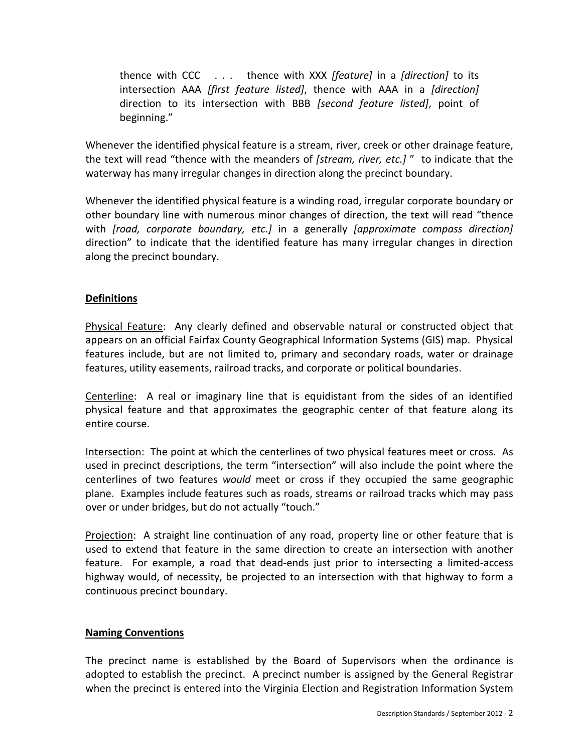thence with CCC . . . thence with XXX *[feature]* in a *[direction]* to its intersection AAA *[first feature listed]*, thence with AAA in a *[direction]*  direction to its intersection with BBB *[second feature listed]*, point of beginning."

Whenever the identified physical feature is a stream, river, creek or other drainage feature, the text will read "thence with the meanders of *[stream, river, etc.]* " to indicate that the waterway has many irregular changes in direction along the precinct boundary.

Whenever the identified physical feature is a winding road, irregular corporate boundary or other boundary line with numerous minor changes of direction, the text will read "thence with *[road, corporate boundary, etc.]* in a generally *[approximate compass direction]*  direction" to indicate that the identified feature has many irregular changes in direction along the precinct boundary.

### **Definitions**

Physical Feature: Any clearly defined and observable natural or constructed object that appears on an official Fairfax County Geographical Information Systems (GIS) map. Physical features include, but are not limited to, primary and secondary roads, water or drainage features, utility easements, railroad tracks, and corporate or political boundaries.

Centerline: A real or imaginary line that is equidistant from the sides of an identified physical feature and that approximates the geographic center of that feature along its entire course.

Intersection: The point at which the centerlines of two physical features meet or cross. As used in precinct descriptions, the term "intersection" will also include the point where the centerlines of two features *would* meet or cross if they occupied the same geographic plane. Examples include features such as roads, streams or railroad tracks which may pass over or under bridges, but do not actually "touch."

Projection: A straight line continuation of any road, property line or other feature that is used to extend that feature in the same direction to create an intersection with another feature. For example, a road that dead-ends just prior to intersecting a limited-access highway would, of necessity, be projected to an intersection with that highway to form a continuous precinct boundary.

#### **Naming Conventions**

The precinct name is established by the Board of Supervisors when the ordinance is adopted to establish the precinct. A precinct number is assigned by the General Registrar when the precinct is entered into the Virginia Election and Registration Information System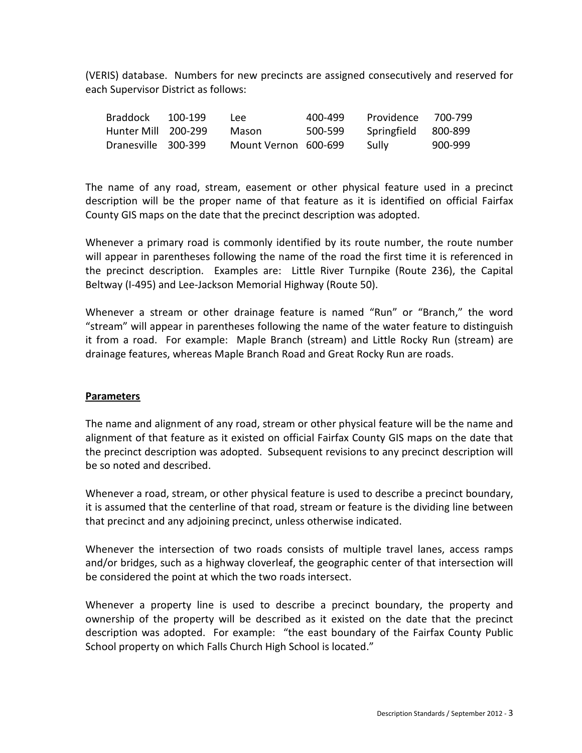(VERIS) database. Numbers for new precincts are assigned consecutively and reserved for each Supervisor District as follows:

| Braddock            | 100-199 | l eel                | 400-499 | Providence          | 700-799 |
|---------------------|---------|----------------------|---------|---------------------|---------|
| Hunter Mill 200-299 |         | Mason                | 500-599 | Springfield 800-899 |         |
| Dranesville 300-399 |         | Mount Vernon 600-699 |         | Sully               | 900-999 |

The name of any road, stream, easement or other physical feature used in a precinct description will be the proper name of that feature as it is identified on official Fairfax County GIS maps on the date that the precinct description was adopted.

Whenever a primary road is commonly identified by its route number, the route number will appear in parentheses following the name of the road the first time it is referenced in the precinct description. Examples are: Little River Turnpike (Route 236), the Capital Beltway (I-495) and Lee-Jackson Memorial Highway (Route 50).

Whenever a stream or other drainage feature is named "Run" or "Branch," the word "stream" will appear in parentheses following the name of the water feature to distinguish it from a road. For example: Maple Branch (stream) and Little Rocky Run (stream) are drainage features, whereas Maple Branch Road and Great Rocky Run are roads.

#### **Parameters**

The name and alignment of any road, stream or other physical feature will be the name and alignment of that feature as it existed on official Fairfax County GIS maps on the date that the precinct description was adopted. Subsequent revisions to any precinct description will be so noted and described.

Whenever a road, stream, or other physical feature is used to describe a precinct boundary, it is assumed that the centerline of that road, stream or feature is the dividing line between that precinct and any adjoining precinct, unless otherwise indicated.

Whenever the intersection of two roads consists of multiple travel lanes, access ramps and/or bridges, such as a highway cloverleaf, the geographic center of that intersection will be considered the point at which the two roads intersect.

Whenever a property line is used to describe a precinct boundary, the property and ownership of the property will be described as it existed on the date that the precinct description was adopted. For example: "the east boundary of the Fairfax County Public School property on which Falls Church High School is located."